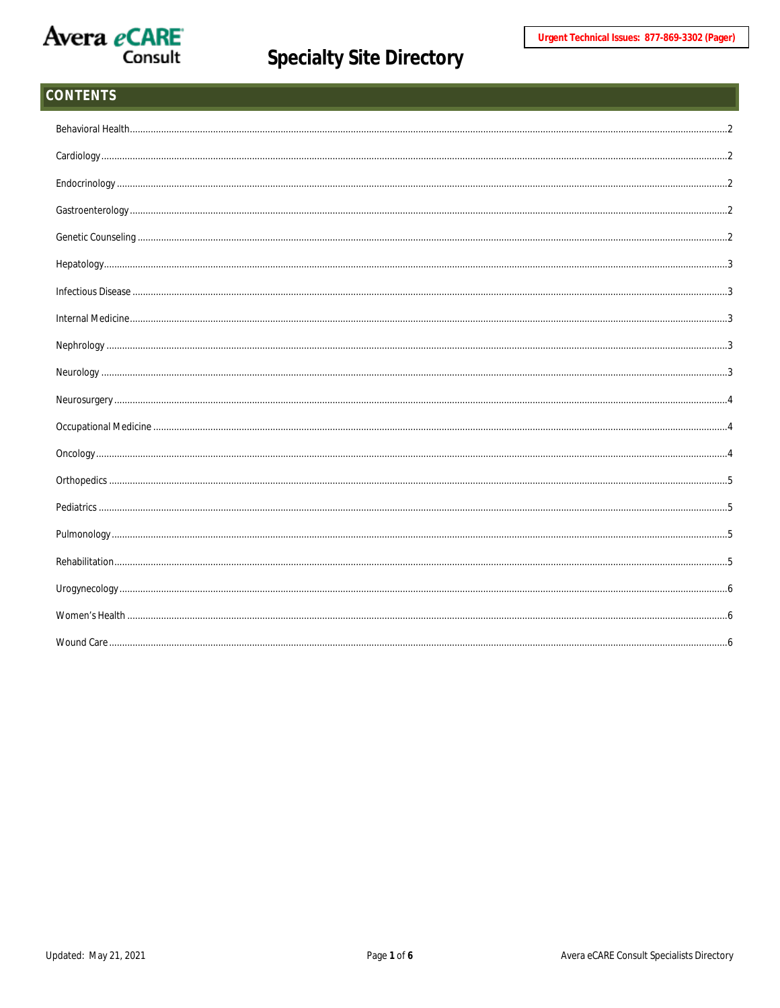

| CONTENTS |  |
|----------|--|
|          |  |
|          |  |
|          |  |
|          |  |
|          |  |
|          |  |
|          |  |
|          |  |
|          |  |
|          |  |
|          |  |
|          |  |
|          |  |
|          |  |
|          |  |
|          |  |
|          |  |
|          |  |
|          |  |
|          |  |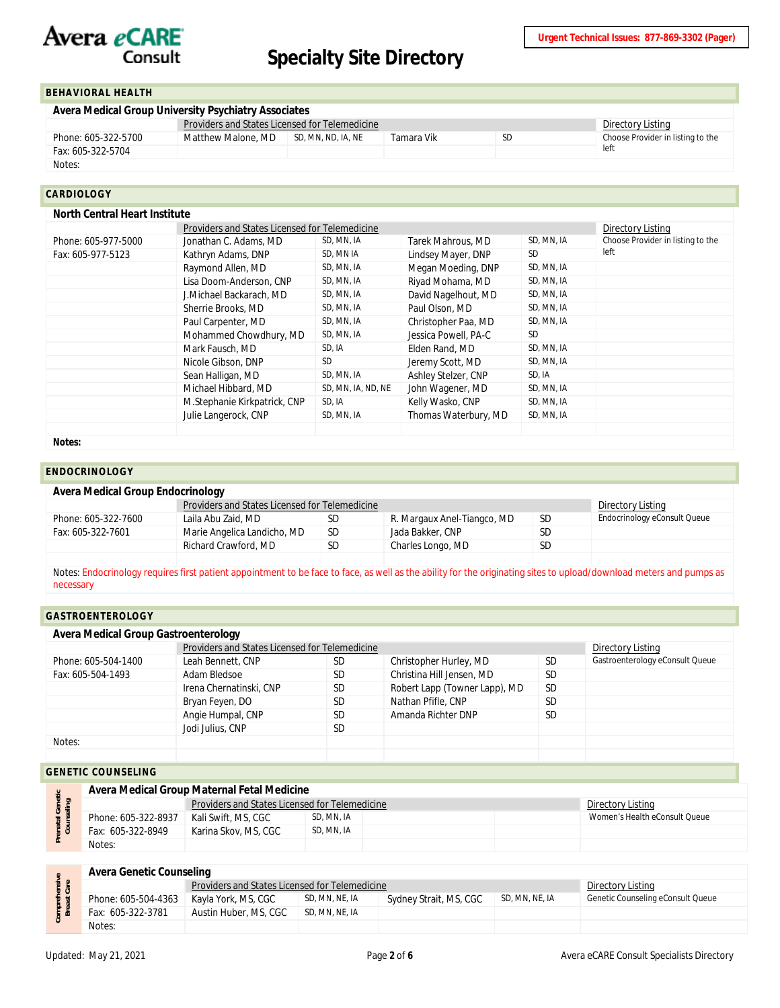## Avera eCARE Consult

## **Specialty Site Directory**

#### <span id="page-1-0"></span>**BEHAVIORAL HEALTH**

| Avera Medical Group University Psychiatry Associates |                                                |                    |            |     |                                   |  |  |  |
|------------------------------------------------------|------------------------------------------------|--------------------|------------|-----|-----------------------------------|--|--|--|
|                                                      | Providers and States Licensed for Telemedicine | Directory Listing  |            |     |                                   |  |  |  |
| Phone: 605-322-5700                                  | Matthew Malone, MD                             | SD. MN. ND. IA. NE | Tamara Vik | SD. | Choose Provider in listing to the |  |  |  |
| Fax: 605-322-5704                                    |                                                |                    |            |     | left                              |  |  |  |
| Notes:                                               |                                                |                    |            |     |                                   |  |  |  |

#### <span id="page-1-1"></span>**CARDIOLOGY**

|                     | Providers and States Licensed for Telemedicine | Directory Listing  |                                   |            |      |
|---------------------|------------------------------------------------|--------------------|-----------------------------------|------------|------|
| Phone: 605-977-5000 | Jonathan C. Adams, MD                          | SD, MN, IA         | Choose Provider in listing to the |            |      |
| Fax: 605-977-5123   | Kathryn Adams, DNP                             | SD, MN IA          | Lindsey Mayer, DNP                | <b>SD</b>  | left |
|                     | Raymond Allen, MD                              | SD, MN, IA         | Megan Moeding, DNP                | SD, MN, IA |      |
|                     | Lisa Doom-Anderson, CNP                        | SD, MN, IA         | Riyad Mohama, MD                  | SD, MN, IA |      |
|                     | J.Michael Backarach, MD                        | SD, MN, IA         | David Nagelhout, MD               | SD, MN, IA |      |
|                     | Sherrie Brooks, MD                             | SD, MN, IA         | Paul Olson, MD                    | SD, MN, IA |      |
|                     | Paul Carpenter, MD                             | SD, MN, IA         | Christopher Paa, MD               | SD, MN, IA |      |
|                     | Mohammed Chowdhury, MD                         | SD, MN, IA         | Jessica Powell, PA-C              | <b>SD</b>  |      |
|                     | Mark Fausch, MD                                | SD, IA             | Elden Rand, MD                    | SD, MN, IA |      |
|                     | Nicole Gibson, DNP                             | <b>SD</b>          | Jeremy Scott, MD                  | SD, MN, IA |      |
|                     | Sean Halligan, MD                              | SD, MN, IA         | Ashley Stelzer, CNP               | SD, IA     |      |
|                     | Michael Hibbard, MD                            | SD, MN, IA, ND, NE | John Wagener, MD                  | SD, MN, IA |      |
|                     | M.Stephanie Kirkpatrick, CNP                   | SD, IA             | Kelly Wasko, CNP                  | SD, MN, IA |      |
|                     | Julie Langerock, CNP                           | SD, MN, IA         | Thomas Waterbury, MD              | SD, MN, IA |      |
|                     |                                                |                    |                                   |            |      |

#### <span id="page-1-2"></span>**ENDOCRINOLOGY**

#### **Avera Medical Group Endocrinology**

|                     | Providers and States Licensed for Telemedicine | Directory Listing |                             |           |                              |
|---------------------|------------------------------------------------|-------------------|-----------------------------|-----------|------------------------------|
| Phone: 605-322-7600 | Laila Abu Zaid, MD                             | SD.               | R. Margaux Anel-Tiangco, MD | <b>SD</b> | Endocrinology eConsult Queue |
| Fax: 605-322-7601   | Marie Angelica Landicho, MD                    | <b>SD</b>         | Jada Bakker, CNP            | SD        |                              |
|                     | Richard Crawford, MD                           | SD.               | Charles Longo, MD           | <b>SD</b> |                              |
|                     |                                                |                   |                             |           |                              |

Notes: Endocrinology requires first patient appointment to be face to face, as well as the ability for the originating sites to upload/download meters and pumps as necessary

#### <span id="page-1-3"></span>**GASTROENTEROLOGY**

| Avera Medical Group Gastroenterology |                                                |           |                               |           |                                 |  |  |  |
|--------------------------------------|------------------------------------------------|-----------|-------------------------------|-----------|---------------------------------|--|--|--|
|                                      | Providers and States Licensed for Telemedicine |           |                               |           | Directory Listing               |  |  |  |
| Phone: 605-504-1400                  | Leah Bennett, CNP                              | SD        | Christopher Hurley, MD        | -SD       | Gastroenterology eConsult Queue |  |  |  |
| Fax: 605-504-1493                    | Adam Bledsoe                                   | <b>SD</b> | Christina Hill Jensen, MD     | <b>SD</b> |                                 |  |  |  |
|                                      | Irena Chernatinski, CNP                        | <b>SD</b> | Robert Lapp (Towner Lapp), MD | <b>SD</b> |                                 |  |  |  |
|                                      | Bryan Feyen, DO                                | <b>SD</b> | Nathan Pfifle, CNP            | <b>SD</b> |                                 |  |  |  |
|                                      | Angie Humpal, CNP                              | <b>SD</b> | Amanda Richter DNP            | <b>SD</b> |                                 |  |  |  |
|                                      | Jodi Julius, CNP                               | SD.       |                               |           |                                 |  |  |  |
| Notes:                               |                                                |           |                               |           |                                 |  |  |  |
|                                      |                                                |           |                               |           |                                 |  |  |  |

#### <span id="page-1-4"></span>**GENETIC COUNSELING**

|                              |                     | Avera Medical Group Maternal Fetal Medicine    |            |  |  |                               |  |  |  |
|------------------------------|---------------------|------------------------------------------------|------------|--|--|-------------------------------|--|--|--|
|                              |                     | Providers and States Licensed for Telemedicine |            |  |  | Directory Listing             |  |  |  |
| tal Gene<br><b>Inselling</b> | Phone: 605-322-8937 | Kali Swift, MS, CGC                            | SD. MN. IA |  |  | Women's Health eConsult Queue |  |  |  |
|                              | Fax: 605-322-8949   | Karina Skov, MS, CGC                           | SD. MN. IA |  |  |                               |  |  |  |
| $\sim$                       | Notes:              |                                                |            |  |  |                               |  |  |  |

#### **Avera Genetic Counseling**

| co                         | <b>AVEI A OCHELIC COMISCITILY</b> |                                                       |                   |                        |                |                                   |
|----------------------------|-----------------------------------|-------------------------------------------------------|-------------------|------------------------|----------------|-----------------------------------|
|                            |                                   | <b>Providers and States Licensed for Telemedicine</b> | Directory Listing |                        |                |                                   |
| omprehensiv<br>Breast Care | Phone: 605-504-4363               | Kavla York, MS, CGC                                   | SD, MN, NE, IA    | Sydney Strait, MS, CGC | SD, MN, NE, IA | Genetic Counseling eConsult Queue |
|                            | Fax: 605-322-3781                 | Austin Huber, MS, CGC                                 | SD, MN, NE, IA    |                        |                |                                   |
|                            | Notes:                            |                                                       |                   |                        |                |                                   |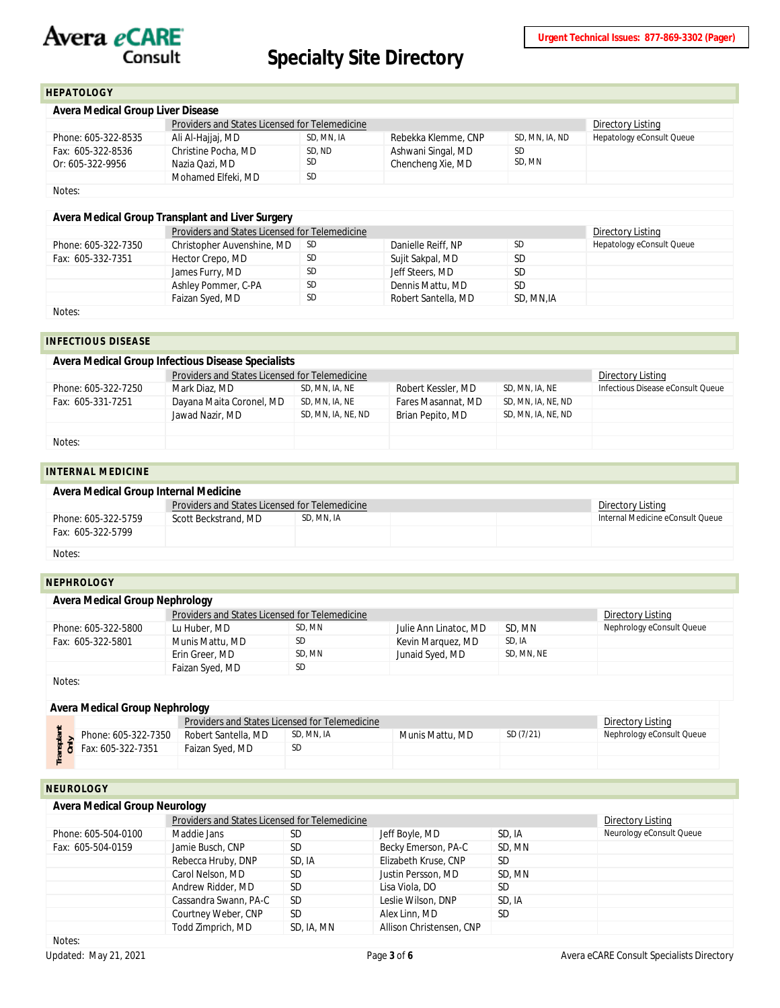

### <span id="page-2-0"></span>**HEPATOLOGY**

| Avera Medical Group Liver Disease     |                                                |                   |                                         |                |                           |  |  |
|---------------------------------------|------------------------------------------------|-------------------|-----------------------------------------|----------------|---------------------------|--|--|
|                                       | Providers and States Licensed for Telemedicine | Directory Listing |                                         |                |                           |  |  |
| Phone: 605-322-8535                   | Ali Al-Hajjaj, MD                              | SD, MN, IA        | Rebekka Klemme, CNP                     | SD, MN, IA, ND | Hepatology eConsult Queue |  |  |
| Fax: 605-322-8536<br>Or: 605-322-9956 | Christine Pocha, MD<br>Nazia Qazi, MD          | SD, ND<br>SD.     | Ashwani Singal, MD<br>Chencheng Xie, MD | SD<br>SD. MN   |                           |  |  |
|                                       | Mohamed Elfeki, MD                             | <b>SD</b>         |                                         |                |                           |  |  |
| Notes:                                |                                                |                   |                                         |                |                           |  |  |

### **Avera Medical Group Transplant and Liver Surgery**

|                     | Providers and States Licensed for Telemedicine | Directory Listing |                     |            |                           |  |  |  |
|---------------------|------------------------------------------------|-------------------|---------------------|------------|---------------------------|--|--|--|
| Phone: 605-322-7350 | Christopher Auvenshine, MD                     | - SD              | Danielle Reiff, NP  | <b>SD</b>  | Hepatology eConsult Queue |  |  |  |
| Fax: 605-332-7351   | Hector Crepo, MD                               | <b>SD</b>         | Sujit Sakpal, MD    | <b>SD</b>  |                           |  |  |  |
|                     | James Furry, MD                                | <b>SD</b>         | Jeff Steers, MD     | <b>SD</b>  |                           |  |  |  |
|                     | Ashley Pommer, C-PA                            | <b>SD</b>         | Dennis Mattu, MD    | <b>SD</b>  |                           |  |  |  |
|                     | Faizan Syed, MD                                | <b>SD</b>         | Robert Santella, MD | SD, MN, IA |                           |  |  |  |
| .                   |                                                |                   |                     |            |                           |  |  |  |

<span id="page-2-1"></span>Notes:

#### **INFECTIOUS DISEASE**

| Avera Medical Group Infectious Disease Specialists |                                                |                    |                    |                    |                                   |  |  |  |
|----------------------------------------------------|------------------------------------------------|--------------------|--------------------|--------------------|-----------------------------------|--|--|--|
|                                                    | Providers and States Licensed for Telemedicine |                    |                    |                    | Directory Listing                 |  |  |  |
| Phone: 605-322-7250                                | Mark Diaz, MD                                  | SD, MN, IA, NE     | Robert Kessler, MD | SD, MN, IA, NE     | Infectious Disease eConsult Oueue |  |  |  |
| Fax: 605-331-7251                                  | Dayana Maita Coronel, MD                       | SD, MN, IA, NE     | Fares Masannat, MD | SD, MN, IA, NE, ND |                                   |  |  |  |
|                                                    | Jawad Nazir, MD                                | SD, MN, IA, NE, ND | Brian Pepito, MD   | SD, MN, IA, NE, ND |                                   |  |  |  |
|                                                    |                                                |                    |                    |                    |                                   |  |  |  |
| Notes:                                             |                                                |                    |                    |                    |                                   |  |  |  |

### <span id="page-2-2"></span>**INTERNAL MEDICINE**

| Avera Medical Group Internal Medicine |                                                |                   |  |  |                                  |  |  |
|---------------------------------------|------------------------------------------------|-------------------|--|--|----------------------------------|--|--|
|                                       | Providers and States Licensed for Telemedicine | Directory Listing |  |  |                                  |  |  |
| Phone: 605-322-5759                   | Scott Beckstrand, MD                           | SD. MN. IA        |  |  | Internal Medicine eConsult Oueue |  |  |
| Fax: 605-322-5799                     |                                                |                   |  |  |                                  |  |  |
| Notes:                                |                                                |                   |  |  |                                  |  |  |

#### <span id="page-2-3"></span>**NEPHROLOGY**

| Avera Medical Group Nephrology |                                                |                   |                       |            |                           |  |  |  |
|--------------------------------|------------------------------------------------|-------------------|-----------------------|------------|---------------------------|--|--|--|
|                                | Providers and States Licensed for Telemedicine | Directory Listing |                       |            |                           |  |  |  |
| Phone: 605-322-5800            | Lu Huber, MD                                   | SD. MN            | Julie Ann Linatoc, MD | SD, MN     | Nephrology eConsult Queue |  |  |  |
| Fax: 605-322-5801              | Munis Mattu, MD                                | <b>SD</b>         | Kevin Marguez, MD     | SD. IA     |                           |  |  |  |
|                                | Erin Greer, MD                                 | SD. MN            | Junaid Syed, MD       | SD. MN. NE |                           |  |  |  |
|                                | Faizan Syed, MD                                | <b>SD</b>         |                       |            |                           |  |  |  |
| Notes:                         |                                                |                   |                       |            |                           |  |  |  |

#### **Avera Medical Group Nephrology**

|                                 | <b>Providers and States Licensed for Telemedicine</b> |            |                 |           | Directory Listing         |
|---------------------------------|-------------------------------------------------------|------------|-----------------|-----------|---------------------------|
| Phone: 605-322-7350             | Robert Santella, MD                                   | SD, MN, IA | Munis Mattu, MD | SD (7/21) | Nephrology eConsult Queue |
| $\frac{2}{5}$ Fax: 605-322-7351 | Faizan Syed, MD                                       | SD         |                 |           |                           |
|                                 |                                                       |            |                 |           |                           |

## <span id="page-2-4"></span>**NEUROLOGY**

|                     |                       | Providers and States Licensed for Telemedicine |                          |           |                          |  |  |  |
|---------------------|-----------------------|------------------------------------------------|--------------------------|-----------|--------------------------|--|--|--|
| Phone: 605-504-0100 | Maddie Jans           | SD                                             | Jeff Boyle, MD           | SD. IA    | Neurology eConsult Queue |  |  |  |
| Fax: 605-504-0159   | Jamie Busch, CNP      | <b>SD</b>                                      | Becky Emerson, PA-C      | SD, MN    |                          |  |  |  |
|                     | Rebecca Hruby, DNP    | SD, IA                                         | Elizabeth Kruse, CNP     | SD.       |                          |  |  |  |
|                     | Carol Nelson, MD      | SD.                                            | Justin Persson, MD       | SD, MN    |                          |  |  |  |
|                     | Andrew Ridder, MD     | <b>SD</b>                                      | Lisa Viola, DO           | <b>SD</b> |                          |  |  |  |
|                     | Cassandra Swann, PA-C | <b>SD</b>                                      | Leslie Wilson, DNP       | SD. IA    |                          |  |  |  |
|                     | Courtney Weber, CNP   | <b>SD</b>                                      | Alex Linn, MD            | <b>SD</b> |                          |  |  |  |
|                     | Todd Zimprich, MD     | SD, IA, MN                                     | Allison Christensen, CNP |           |                          |  |  |  |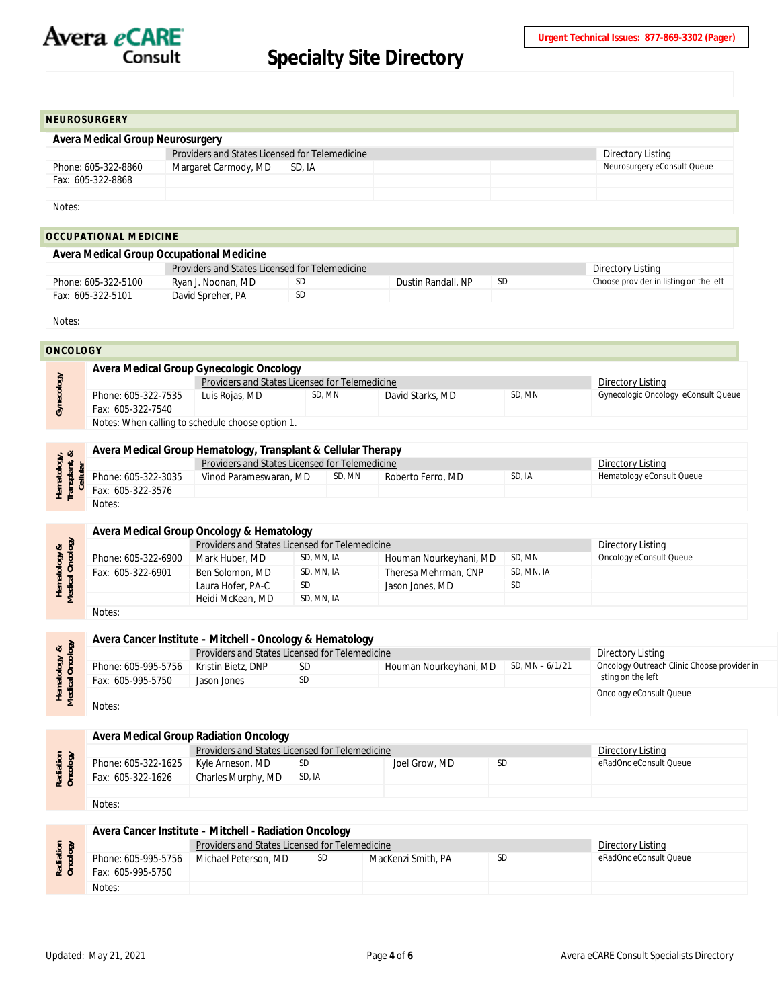

<span id="page-3-0"></span>

| <b>NEUROSURGERY</b>              |                                                |        |  |  |                             |  |  |
|----------------------------------|------------------------------------------------|--------|--|--|-----------------------------|--|--|
|                                  |                                                |        |  |  |                             |  |  |
| Avera Medical Group Neurosurgery |                                                |        |  |  |                             |  |  |
|                                  | Providers and States Licensed for Telemedicine |        |  |  | Directory Listing           |  |  |
| Phone: 605-322-8860              | Margaret Carmody, MD                           | SD. IA |  |  | Neurosurgery eConsult Queue |  |  |
| Fax: 605-322-8868                |                                                |        |  |  |                             |  |  |
|                                  |                                                |        |  |  |                             |  |  |
| Notes:                           |                                                |        |  |  |                             |  |  |
|                                  |                                                |        |  |  |                             |  |  |
| <b>OCCUPATIONAL MEDICINE</b>     |                                                |        |  |  |                             |  |  |
|                                  |                                                |        |  |  |                             |  |  |

<span id="page-3-1"></span>

| Avera Medical Group Occupational Medicine                                  |                    |     |                    |     |                                        |  |  |
|----------------------------------------------------------------------------|--------------------|-----|--------------------|-----|----------------------------------------|--|--|
| <b>Providers and States Licensed for Telemedicine</b><br>Directory Listing |                    |     |                    |     |                                        |  |  |
| Phone: 605-322-5100                                                        | Ryan J. Noonan, MD | SD. | Dustin Randall, NP | SD. | Choose provider in listing on the left |  |  |
| Fax: 605-322-5101                                                          | David Spreher, PA  | SD. |                    |     |                                        |  |  |
|                                                                            |                    |     |                    |     |                                        |  |  |

Notes:

### <span id="page-3-2"></span>**ONCOLOGY**

|  | Avera Medical Group Gynecologic Oncology         |                |                                                                     |                  |        |                                     |  |  |
|--|--------------------------------------------------|----------------|---------------------------------------------------------------------|------------------|--------|-------------------------------------|--|--|
|  |                                                  |                | Providers and States Licensed for Telemedicine<br>Directory Listing |                  |        |                                     |  |  |
|  | Phone: 605-322-7535                              | Luis Rojas, MD | SD, MN                                                              | David Starks, MD | SD. MN | Gynecologic Oncology eConsult Queue |  |  |
|  | Fax: 605-322-7540                                |                |                                                                     |                  |        |                                     |  |  |
|  | Notes: When calling to schedule choose option 1. |                |                                                                     |                  |        |                                     |  |  |

| $\frac{3}{2}$<br>$\frac{8}{1}$<br>$\frac{1}{6}$ $\frac{1}{6}$ $\frac{1}{6}$<br>$rac{1}{2}$ |                     | Avera Medical Group Hematology, Transplant & Cellular Therapy |                                                |                   |        |                           |  |  |  |  |
|--------------------------------------------------------------------------------------------|---------------------|---------------------------------------------------------------|------------------------------------------------|-------------------|--------|---------------------------|--|--|--|--|
|                                                                                            |                     |                                                               | Providers and States Licensed for Telemedicine |                   |        |                           |  |  |  |  |
|                                                                                            | Phone: 605-322-3035 | Vinod Parameswaran, MD                                        | SD, MN                                         | Roberto Ferro, MD | SD. IA | Hematology eConsult Queue |  |  |  |  |
|                                                                                            | Fax: 605-322-3576   |                                                               |                                                |                   |        |                           |  |  |  |  |
|                                                                                            | Notes:              |                                                               |                                                |                   |        |                           |  |  |  |  |

## **Avera Medical Group Oncology & Hematology**

|                                  |                     | Providers and States Licensed for Telemedicine | Directory Listing |                        |            |                         |
|----------------------------------|---------------------|------------------------------------------------|-------------------|------------------------|------------|-------------------------|
|                                  | Phone: 605-322-6900 | Mark Huber, MD                                 | SD, MN, IA        | Houman Nourkeyhani, MD | SD, MN     | Oncology eConsult Queue |
| Hematology &<br>Medical Oncology | Fax: 605-322-6901   | Ben Solomon, MD                                | SD, MN, IA        | Theresa Mehrman, CNP   | SD. MN. IA |                         |
|                                  |                     | Laura Hofer, PA-C                              | <b>SD</b>         | Jason Jones, MD        | <b>SD</b>  |                         |
|                                  |                     | Heidi McKean, MD                               | SD, MN, IA        |                        |            |                         |
|                                  | Notas <sup>.</sup>  |                                                |                   |                        |            |                         |

Notes:

|                             |                     | Avera Cancer Institute - Mitchell - Oncology & Hematology |           |                        |                  |                                             |  |  |
|-----------------------------|---------------------|-----------------------------------------------------------|-----------|------------------------|------------------|---------------------------------------------|--|--|
| $\frac{8}{9}$               |                     | Providers and States Licensed for Telemedicine            |           | Directory Listing      |                  |                                             |  |  |
| Hematology<br>fedical Oncol | Phone: 605-995-5756 | Kristin Bietz, DNP                                        | <b>SD</b> | Houman Nourkeyhani, MD | SD, MN $-6/1/21$ | Oncology Outreach Clinic Choose provider in |  |  |
|                             | Fax: 605-995-5750   | Jason Jones                                               | <b>SD</b> |                        |                  | listing on the left                         |  |  |
|                             |                     |                                                           |           |                        |                  | Oncology eConsult Queue                     |  |  |
|                             | Notes:              |                                                           |           |                        |                  |                                             |  |  |

#### **Avera Medical Group Radiation Oncology**

|                       |                     | Providers and States Licensed for Telemedicine | Directory Listing<br>eRadOnc eConsult Queue<br><b>SD</b> |               |  |  |
|-----------------------|---------------------|------------------------------------------------|----------------------------------------------------------|---------------|--|--|
|                       | Phone: 605-322-1625 | Kyle Arneson, MD                               | SD                                                       | Joel Grow, MD |  |  |
| Radiation<br>Oncology | Fax: 605-322-1626   | Charles Murphy, MD                             | SD, IA                                                   |               |  |  |
|                       |                     |                                                |                                                          |               |  |  |
|                       | Notes:              |                                                |                                                          |               |  |  |

## **Avera Cancer Institute – Mitchell - Radiation Oncology**

| diatio |                     | Directory Listing    |           |                    |    |                        |
|--------|---------------------|----------------------|-----------|--------------------|----|------------------------|
|        | Phone: 605-995-5756 | Michael Peterson, MD | <b>SD</b> | MacKenzi Smith, PA | SD | eRadOnc eConsult Oueue |
|        | Fax: 605-995-5750   |                      |           |                    |    |                        |
|        | Notes:              |                      |           |                    |    |                        |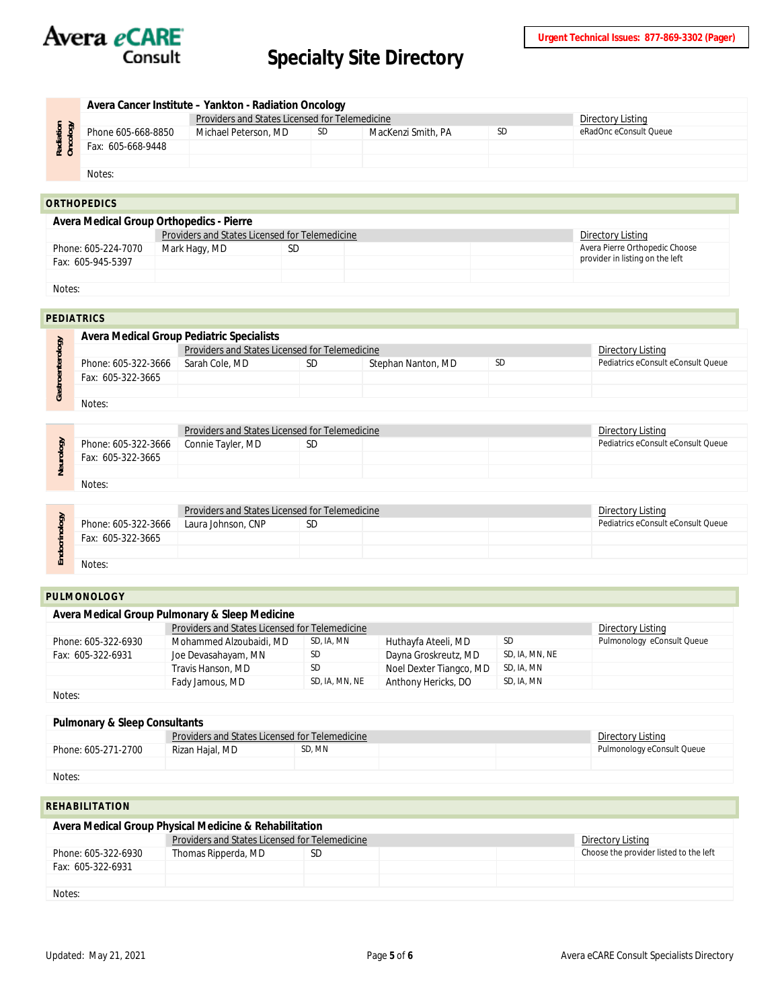

|                    |                    | Avera Cancer Institute - Yankton - Radiation Oncology |                   |                    |           |                        |  |  |  |
|--------------------|--------------------|-------------------------------------------------------|-------------------|--------------------|-----------|------------------------|--|--|--|
| 호호<br>Radi<br>Onco |                    | Providers and States Licensed for Telemedicine        | Directory Listing |                    |           |                        |  |  |  |
|                    | Phone 605-668-8850 | Michael Peterson, MD                                  | SD                | MacKenzi Smith, PA | <b>SD</b> | eRadOnc eConsult Queue |  |  |  |
|                    | Fax: 605-668-9448  |                                                       |                   |                    |           |                        |  |  |  |
|                    |                    |                                                       |                   |                    |           |                        |  |  |  |
|                    | Notes:             |                                                       |                   |                    |           |                        |  |  |  |

#### <span id="page-4-0"></span>**ORTHOPEDICS**

| Avera Medical Group Orthopedics - Pierre |                                                |                   |  |  |                                 |  |  |
|------------------------------------------|------------------------------------------------|-------------------|--|--|---------------------------------|--|--|
|                                          | Providers and States Licensed for Telemedicine | Directory Listing |  |  |                                 |  |  |
| Phone: 605-224-7070                      | Mark Hagy, MD                                  | SD                |  |  | Avera Pierre Orthopedic Choose  |  |  |
| Fax: 605-945-5397                        |                                                |                   |  |  | provider in listing on the left |  |  |
|                                          |                                                |                   |  |  |                                 |  |  |

#### Notes:

<span id="page-4-1"></span>

|      | <b>PEDIATRICS</b>                         |                                                |                   |                    |           |                                    |  |  |  |
|------|-------------------------------------------|------------------------------------------------|-------------------|--------------------|-----------|------------------------------------|--|--|--|
| ු    | Avera Medical Group Pediatric Specialists |                                                |                   |                    |           |                                    |  |  |  |
|      |                                           | Providers and States Licensed for Telemedicine | Directory Listing |                    |           |                                    |  |  |  |
|      | Phone: 605-322-3666                       | Sarah Cole, MD                                 | <b>SD</b>         | Stephan Nanton, MD | <b>SD</b> | Pediatrics eConsult eConsult Queue |  |  |  |
|      | Fax: 605-322-3665                         |                                                |                   |                    |           |                                    |  |  |  |
| Gast |                                           |                                                |                   |                    |           |                                    |  |  |  |
|      | Notes:                                    |                                                |                   |                    |           |                                    |  |  |  |

| > |                     | Providers and States Licensed for Telemedicine | Directory Listing |  |                                    |
|---|---------------------|------------------------------------------------|-------------------|--|------------------------------------|
|   | Phone: 605-322-3666 | Connie Tayler, MD                              | SD                |  | Pediatrics eConsult eConsult Oueue |
|   | Fax: 605-322-3665   |                                                |                   |  |                                    |
|   |                     |                                                |                   |  |                                    |
|   | Notes:              |                                                |                   |  |                                    |

| డె |                     | Providers and States Licensed for Telemedicine | Directory Listing |  |                                    |
|----|---------------------|------------------------------------------------|-------------------|--|------------------------------------|
|    | Phone: 605-322-3666 | Laura Johnson, CNP                             | <b>SD</b>         |  | Pediatrics eConsult eConsult Queue |
|    | Fax: 605-322-3665   |                                                |                   |  |                                    |
|    |                     |                                                |                   |  |                                    |
|    | Notes:              |                                                |                   |  |                                    |

#### <span id="page-4-2"></span>**PULMONOLOGY**

| Avera Medical Group Pulmonary & Sleep Medicine |                                                |                   |                         |                |                            |  |  |  |  |
|------------------------------------------------|------------------------------------------------|-------------------|-------------------------|----------------|----------------------------|--|--|--|--|
|                                                | Providers and States Licensed for Telemedicine | Directory Listing |                         |                |                            |  |  |  |  |
| Phone: 605-322-6930                            | Mohammed Alzoubaidi, MD                        | SD, IA, MN        | Huthayfa Ateeli, MD     | SD             | Pulmonology eConsult Queue |  |  |  |  |
| Fax: 605-322-6931                              | Joe Devasahayam, MN                            | SD.               | Dayna Groskreutz, MD    | SD, IA, MN, NE |                            |  |  |  |  |
|                                                | Travis Hanson, MD                              | SD.               | Noel Dexter Tiangco, MD | SD, IA, MN     |                            |  |  |  |  |
|                                                | Fady Jamous, MD                                | SD, IA, MN, NE    | Anthony Hericks, DO     | SD, IA, MN     |                            |  |  |  |  |
| Notes:                                         |                                                |                   |                         |                |                            |  |  |  |  |

#### **Pulmonary & Sleep Consultants**

|                     | Providers and States Licensed for Telemedicine | Directory Listing          |  |  |  |  |  |
|---------------------|------------------------------------------------|----------------------------|--|--|--|--|--|
| Phone: 605-271-2700 | Rizan Hajal, MD                                | Pulmonology eConsult Queue |  |  |  |  |  |
|                     |                                                |                            |  |  |  |  |  |
| .                   |                                                |                            |  |  |  |  |  |

Notes:

## <span id="page-4-3"></span>**REHABILITATION**

| Avera Medical Group Physical Medicine & Rehabilitation |                                                                     |    |  |  |                                        |  |  |  |
|--------------------------------------------------------|---------------------------------------------------------------------|----|--|--|----------------------------------------|--|--|--|
|                                                        | Providers and States Licensed for Telemedicine<br>Directory Listing |    |  |  |                                        |  |  |  |
| Phone: 605-322-6930                                    | Thomas Ripperda, MD                                                 | SD |  |  | Choose the provider listed to the left |  |  |  |
| Fax: 605-322-6931                                      |                                                                     |    |  |  |                                        |  |  |  |
|                                                        |                                                                     |    |  |  |                                        |  |  |  |
| Notes:                                                 |                                                                     |    |  |  |                                        |  |  |  |